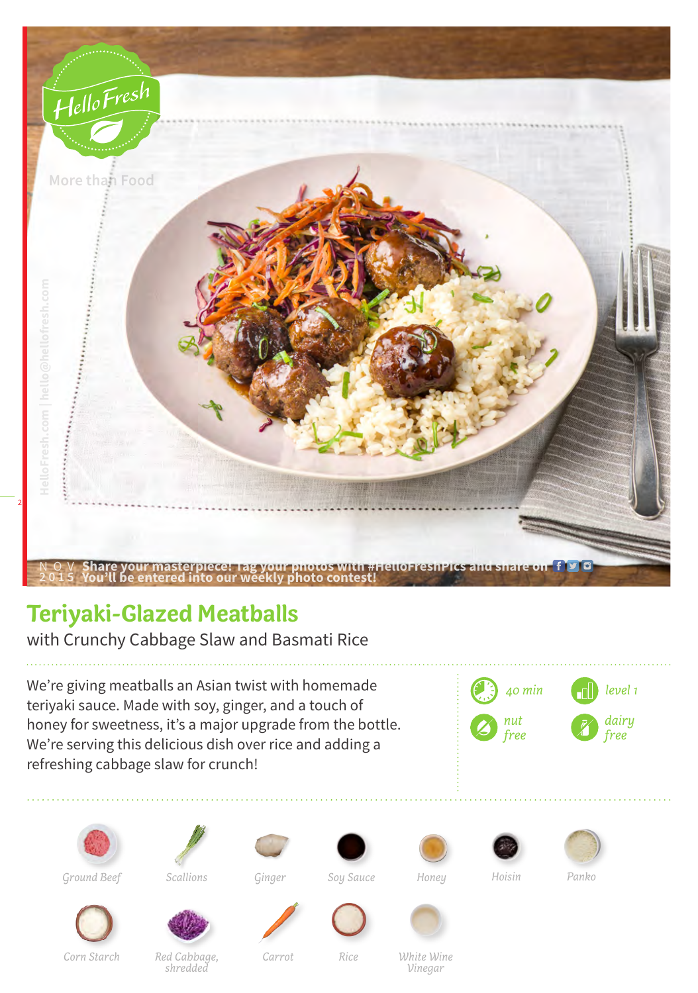

## **Teriyaki-Glazed Meatballs**

with Crunchy Cabbage Slaw and Basmati Rice

We're giving meatballs an Asian twist with homemade teriyaki sauce. Made with soy, ginger, and a touch of honey for sweetness, it's a major upgrade from the bottle. We're serving this delicious dish over rice and adding a refreshing cabbage slaw for crunch!



















*Ground Beef Ginger Soy Sauce Honey Hoisin Panko*

*Scallions*





*Corn Starch*





*Carrot Rice White Wine Vinegar*

*Red Cabbage, shredded*